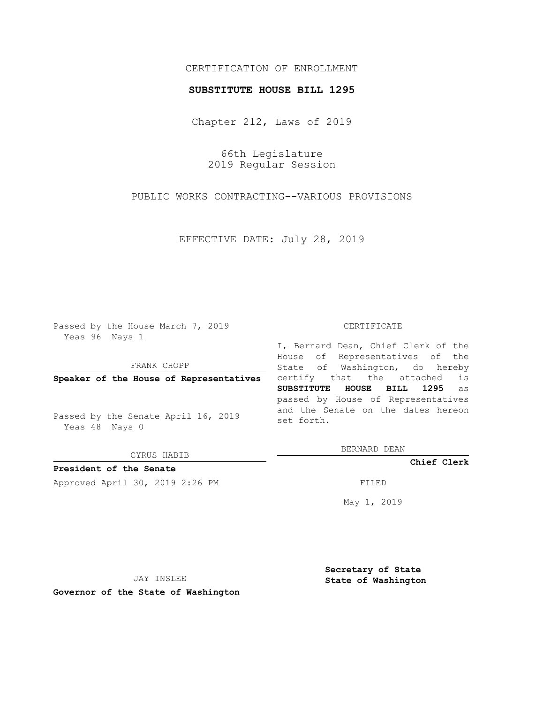## CERTIFICATION OF ENROLLMENT

## **SUBSTITUTE HOUSE BILL 1295**

Chapter 212, Laws of 2019

66th Legislature 2019 Regular Session

PUBLIC WORKS CONTRACTING--VARIOUS PROVISIONS

EFFECTIVE DATE: July 28, 2019

Passed by the House March 7, 2019 Yeas 96 Nays 1

FRANK CHOPP

**Speaker of the House of Representatives**

Passed by the Senate April 16, 2019 Yeas 48 Nays 0

CYRUS HABIB

**President of the Senate**

Approved April 30, 2019 2:26 PM FILED

## CERTIFICATE

I, Bernard Dean, Chief Clerk of the House of Representatives of the State of Washington, do hereby certify that the attached is **SUBSTITUTE HOUSE BILL 1295** as passed by House of Representatives and the Senate on the dates hereon set forth.

BERNARD DEAN

**Chief Clerk**

May 1, 2019

JAY INSLEE

**Governor of the State of Washington**

**Secretary of State State of Washington**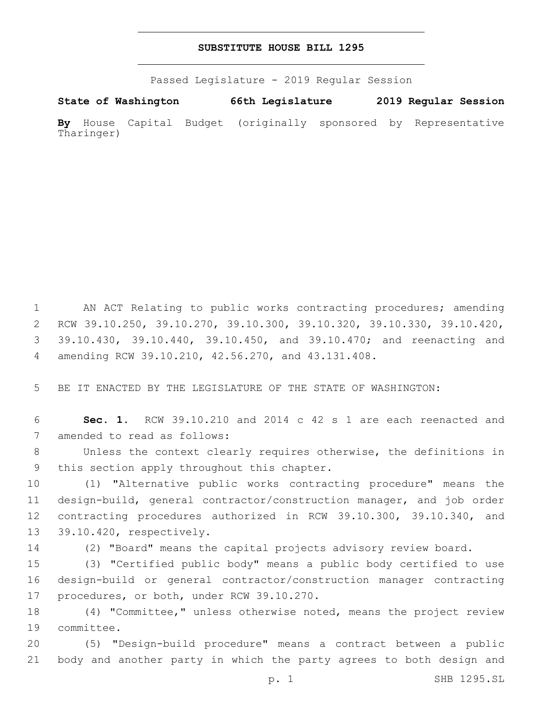## **SUBSTITUTE HOUSE BILL 1295**

Passed Legislature - 2019 Regular Session

**State of Washington 66th Legislature 2019 Regular Session By** House Capital Budget (originally sponsored by Representative Tharinger)

 AN ACT Relating to public works contracting procedures; amending RCW 39.10.250, 39.10.270, 39.10.300, 39.10.320, 39.10.330, 39.10.420, 39.10.430, 39.10.440, 39.10.450, and 39.10.470; and reenacting and amending RCW 39.10.210, 42.56.270, and 43.131.408.4

5 BE IT ENACTED BY THE LEGISLATURE OF THE STATE OF WASHINGTON:

6 **Sec. 1.** RCW 39.10.210 and 2014 c 42 s 1 are each reenacted and 7 amended to read as follows:

8 Unless the context clearly requires otherwise, the definitions in 9 this section apply throughout this chapter.

 (1) "Alternative public works contracting procedure" means the design-build, general contractor/construction manager, and job order contracting procedures authorized in RCW 39.10.300, 39.10.340, and 13 39.10.420, respectively.

14 (2) "Board" means the capital projects advisory review board.

15 (3) "Certified public body" means a public body certified to use 16 design-build or general contractor/construction manager contracting 17 procedures, or both, under RCW 39.10.270.

18 (4) "Committee," unless otherwise noted, means the project review 19 committee.

20 (5) "Design-build procedure" means a contract between a public 21 body and another party in which the party agrees to both design and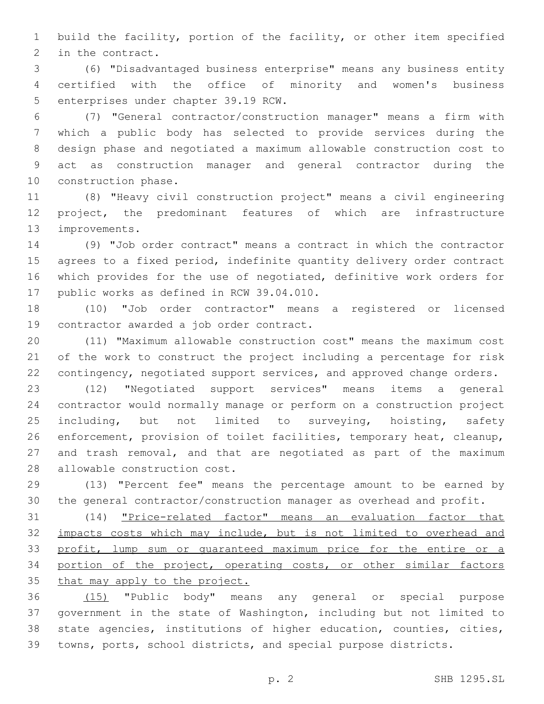build the facility, portion of the facility, or other item specified 2 in the contract.

 (6) "Disadvantaged business enterprise" means any business entity certified with the office of minority and women's business 5 enterprises under chapter 39.19 RCW.

 (7) "General contractor/construction manager" means a firm with which a public body has selected to provide services during the design phase and negotiated a maximum allowable construction cost to act as construction manager and general contractor during the 10 construction phase.

 (8) "Heavy civil construction project" means a civil engineering project, the predominant features of which are infrastructure 13 improvements.

 (9) "Job order contract" means a contract in which the contractor agrees to a fixed period, indefinite quantity delivery order contract which provides for the use of negotiated, definitive work orders for 17 public works as defined in RCW 39.04.010.

 (10) "Job order contractor" means a registered or licensed 19 contractor awarded a job order contract.

 (11) "Maximum allowable construction cost" means the maximum cost of the work to construct the project including a percentage for risk contingency, negotiated support services, and approved change orders.

 (12) "Negotiated support services" means items a general contractor would normally manage or perform on a construction project 25 including, but not limited to surveying, hoisting, safety enforcement, provision of toilet facilities, temporary heat, cleanup, and trash removal, and that are negotiated as part of the maximum 28 allowable construction cost.

 (13) "Percent fee" means the percentage amount to be earned by the general contractor/construction manager as overhead and profit.

 (14) "Price-related factor" means an evaluation factor that 32 impacts costs which may include, but is not limited to overhead and profit, lump sum or guaranteed maximum price for the entire or a portion of the project, operating costs, or other similar factors that may apply to the project.

 (15) "Public body" means any general or special purpose government in the state of Washington, including but not limited to state agencies, institutions of higher education, counties, cities, towns, ports, school districts, and special purpose districts.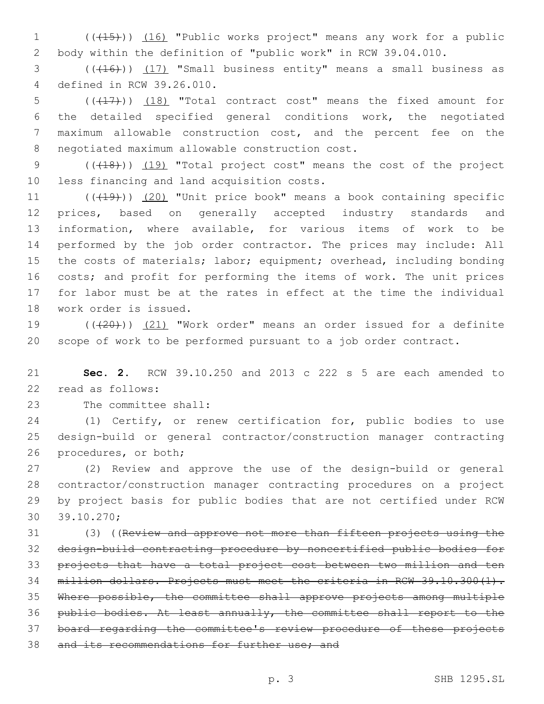1 (((15))) (16) "Public works project" means any work for a public 2 body within the definition of "public work" in RCW 39.04.010.

 $(1, 16)$  (( $(16)$ )) (17) "Small business entity" means a small business as defined in RCW 39.26.010.4

5 (( $(17)$ )) (18) "Total contract cost" means the fixed amount for 6 the detailed specified general conditions work, the negotiated 7 maximum allowable construction cost, and the percent fee on the 8 negotiated maximum allowable construction cost.

9 (( $(18)$ )) (19) "Total project cost" means the cost of the project 10 less financing and land acquisition costs.

11 (((19))) (20) "Unit price book" means a book containing specific prices, based on generally accepted industry standards and information, where available, for various items of work to be performed by the job order contractor. The prices may include: All 15 the costs of materials; labor; equipment; overhead, including bonding costs; and profit for performing the items of work. The unit prices for labor must be at the rates in effect at the time the individual 18 work order is issued.

19 (( $(20)$ )) (21) "Work order" means an order issued for a definite 20 scope of work to be performed pursuant to a job order contract.

21 **Sec. 2.** RCW 39.10.250 and 2013 c 222 s 5 are each amended to read as follows:22

23 The committee shall:

24 (1) Certify, or renew certification for, public bodies to use 25 design-build or general contractor/construction manager contracting 26 procedures, or both;

 (2) Review and approve the use of the design-build or general contractor/construction manager contracting procedures on a project by project basis for public bodies that are not certified under RCW 30 39.10.270;

 (3) ((Review and approve not more than fifteen projects using the design-build contracting procedure by noncertified public bodies for projects that have a total project cost between two million and ten 34 million dollars. Projects must meet the criteria in RCW 39.10.300(1). Where possible, the committee shall approve projects among multiple public bodies. At least annually, the committee shall report to the board regarding the committee's review procedure of these projects 38 and its recommendations for further use; and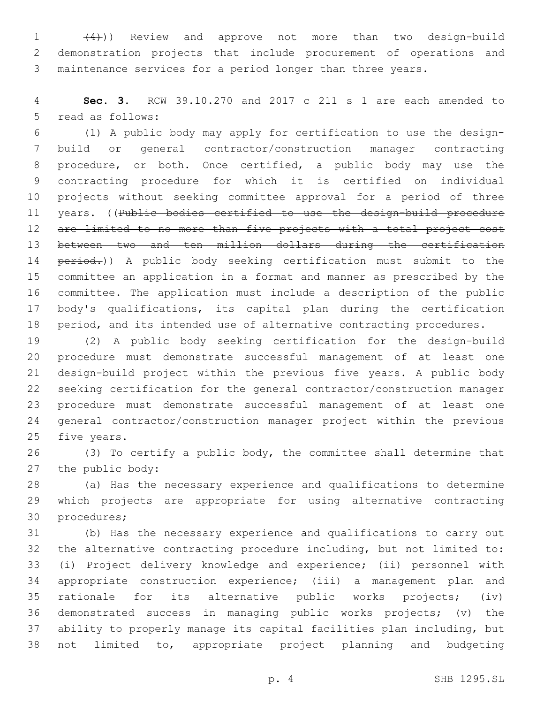1 (4)) Review and approve not more than two design-build demonstration projects that include procurement of operations and maintenance services for a period longer than three years.

 **Sec. 3.** RCW 39.10.270 and 2017 c 211 s 1 are each amended to 5 read as follows:

 (1) A public body may apply for certification to use the design- build or general contractor/construction manager contracting procedure, or both. Once certified, a public body may use the contracting procedure for which it is certified on individual projects without seeking committee approval for a period of three 11 years. ((Public bodies certified to use the design-build procedure 12 are limited to no more than five projects with a total project cost between two and ten million dollars during the certification 14 period.)) A public body seeking certification must submit to the committee an application in a format and manner as prescribed by the committee. The application must include a description of the public body's qualifications, its capital plan during the certification 18 period, and its intended use of alternative contracting procedures.

 (2) A public body seeking certification for the design-build procedure must demonstrate successful management of at least one design-build project within the previous five years. A public body seeking certification for the general contractor/construction manager procedure must demonstrate successful management of at least one general contractor/construction manager project within the previous 25 five years.

 (3) To certify a public body, the committee shall determine that 27 the public body:

 (a) Has the necessary experience and qualifications to determine which projects are appropriate for using alternative contracting 30 procedures;

 (b) Has the necessary experience and qualifications to carry out the alternative contracting procedure including, but not limited to: (i) Project delivery knowledge and experience; (ii) personnel with appropriate construction experience; (iii) a management plan and rationale for its alternative public works projects; (iv) demonstrated success in managing public works projects; (v) the ability to properly manage its capital facilities plan including, but not limited to, appropriate project planning and budgeting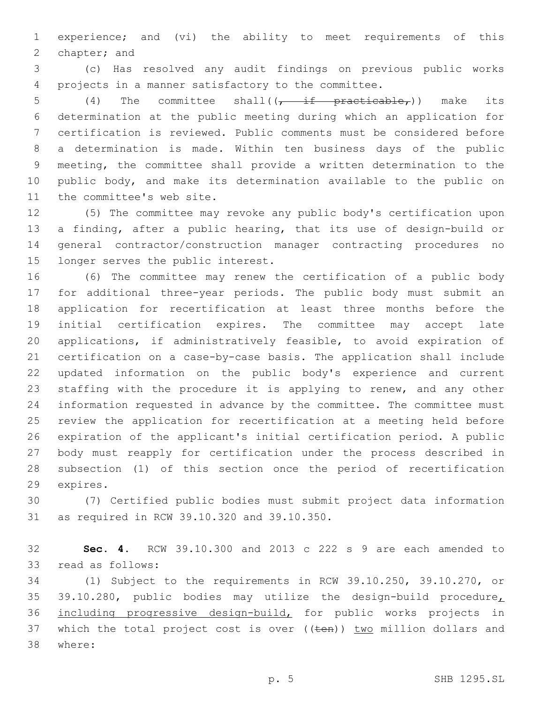experience; and (vi) the ability to meet requirements of this 2 chapter; and

 (c) Has resolved any audit findings on previous public works projects in a manner satisfactory to the committee.

5 (4) The committee shall( $\overline{f}$  if practicable,)) make its determination at the public meeting during which an application for certification is reviewed. Public comments must be considered before a determination is made. Within ten business days of the public meeting, the committee shall provide a written determination to the public body, and make its determination available to the public on 11 the committee's web site.

 (5) The committee may revoke any public body's certification upon a finding, after a public hearing, that its use of design-build or general contractor/construction manager contracting procedures no 15 longer serves the public interest.

 (6) The committee may renew the certification of a public body for additional three-year periods. The public body must submit an application for recertification at least three months before the initial certification expires. The committee may accept late applications, if administratively feasible, to avoid expiration of certification on a case-by-case basis. The application shall include updated information on the public body's experience and current staffing with the procedure it is applying to renew, and any other information requested in advance by the committee. The committee must review the application for recertification at a meeting held before expiration of the applicant's initial certification period. A public body must reapply for certification under the process described in subsection (1) of this section once the period of recertification 29 expires.

 (7) Certified public bodies must submit project data information 31 as required in RCW 39.10.320 and 39.10.350.

 **Sec. 4.** RCW 39.10.300 and 2013 c 222 s 9 are each amended to 33 read as follows:

 (1) Subject to the requirements in RCW 39.10.250, 39.10.270, or 35 39.10.280, public bodies may utilize the design-build procedure, including progressive design-build, for public works projects in 37 which the total project cost is over ((ten)) two million dollars and where:38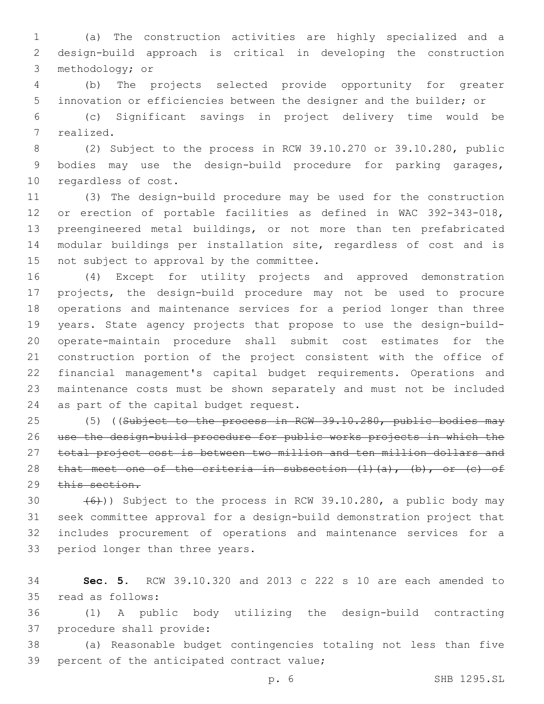(a) The construction activities are highly specialized and a design-build approach is critical in developing the construction 3 methodology; or

 (b) The projects selected provide opportunity for greater innovation or efficiencies between the designer and the builder; or

 (c) Significant savings in project delivery time would be 7 realized.

 (2) Subject to the process in RCW 39.10.270 or 39.10.280, public bodies may use the design-build procedure for parking garages, 10 regardless of cost.

 (3) The design-build procedure may be used for the construction or erection of portable facilities as defined in WAC 392-343-018, preengineered metal buildings, or not more than ten prefabricated modular buildings per installation site, regardless of cost and is 15 not subject to approval by the committee.

 (4) Except for utility projects and approved demonstration projects, the design-build procedure may not be used to procure operations and maintenance services for a period longer than three years. State agency projects that propose to use the design-build- operate-maintain procedure shall submit cost estimates for the construction portion of the project consistent with the office of financial management's capital budget requirements. Operations and maintenance costs must be shown separately and must not be included 24 as part of the capital budget request.

25 (5) ((Subject to the process in RCW 39.10.280, public bodies may use the design-build procedure for public works projects in which the total project cost is between two million and ten million dollars and 28 that meet one of the criteria in subsection  $(1)$   $(a)$ ,  $(b)$ , or  $(c)$  of this section.

 $(6)$ )) Subject to the process in RCW 39.10.280, a public body may seek committee approval for a design-build demonstration project that includes procurement of operations and maintenance services for a 33 period longer than three years.

 **Sec. 5.** RCW 39.10.320 and 2013 c 222 s 10 are each amended to 35 read as follows:

 (1) A public body utilizing the design-build contracting 37 procedure shall provide:

 (a) Reasonable budget contingencies totaling not less than five 39 percent of the anticipated contract value;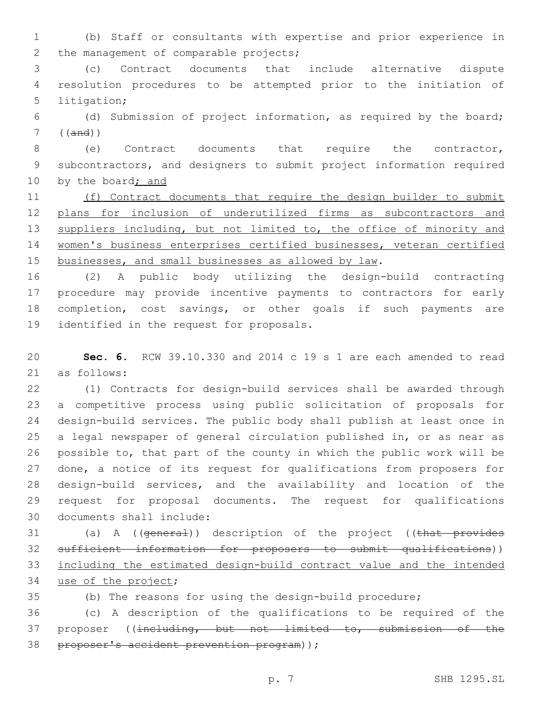(b) Staff or consultants with expertise and prior experience in 2 the management of comparable projects;

 (c) Contract documents that include alternative dispute resolution procedures to be attempted prior to the initiation of 5 litigation;

 (d) Submission of project information, as required by the board; ((and))

 (e) Contract documents that require the contractor, subcontractors, and designers to submit project information required 10 by the board; and

 (f) Contract documents that require the design builder to submit plans for inclusion of underutilized firms as subcontractors and 13 suppliers including, but not limited to, the office of minority and women's business enterprises certified businesses, veteran certified 15 businesses, and small businesses as allowed by law.

 (2) A public body utilizing the design-build contracting procedure may provide incentive payments to contractors for early completion, cost savings, or other goals if such payments are 19 identified in the request for proposals.

 **Sec. 6.** RCW 39.10.330 and 2014 c 19 s 1 are each amended to read 21 as follows:

 (1) Contracts for design-build services shall be awarded through a competitive process using public solicitation of proposals for design-build services. The public body shall publish at least once in a legal newspaper of general circulation published in, or as near as possible to, that part of the county in which the public work will be done, a notice of its request for qualifications from proposers for design-build services, and the availability and location of the request for proposal documents. The request for qualifications 30 documents shall include:

31 (a) A ((general)) description of the project ((that provides sufficient information for proposers to submit qualifications)) including the estimated design-build contract value and the intended 34 use of the project;

(b) The reasons for using the design-build procedure;

 (c) A description of the qualifications to be required of the proposer ((including, but not limited to, submission of the 38 proposer's accident prevention program) );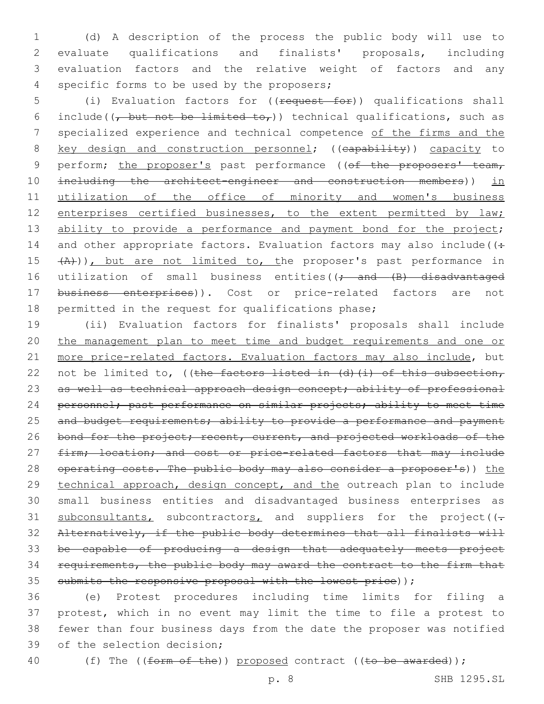(d) A description of the process the public body will use to evaluate qualifications and finalists' proposals, including evaluation factors and the relative weight of factors and any 4 specific forms to be used by the proposers;

5 (i) Evaluation factors for ((request for)) qualifications shall 6 include( $\frac{1}{t}$  but not be limited to,)) technical qualifications, such as 7 specialized experience and technical competence of the firms and the 8 key design and construction personnel; ((capability)) capacity to 9 perform; the proposer's past performance ((of the proposers' team, 10 including the architect-engineer and construction members)) in 11 utilization of the office of minority and women's business 12 enterprises certified businesses, to the extent permitted by law; 13 ability to provide a performance and payment bond for the project; 14 and other appropriate factors. Evaluation factors may also include( $($ : 15  $(A)$ )), but are not limited to, the proposer's past performance in 16 utilization of small business entities((; and (B) disadvantaged 17 business enterprises)). Cost or price-related factors are not 18 permitted in the request for qualifications phase;

19 (ii) Evaluation factors for finalists' proposals shall include 20 the management plan to meet time and budget requirements and one or 21 more price-related factors. Evaluation factors may also include, but 22 not be limited to, ((the factors listed in (d)(i) of this subsection, 23 as well as technical approach design concept; ability of professional 24 personnel; past performance on similar projects; ability to meet time 25 and budget requirements; ability to provide a performance and payment 26 bond for the project; recent, current, and projected workloads of the 27 firm; location; and cost or price-related factors that may include 28 operating costs. The public body may also consider a proposer's)) the 29 technical approach, design concept, and the outreach plan to include 30 small business entities and disadvantaged business enterprises as 31  $subconsultants,$  subcontractors, and suppliers for the project( $(-$ 32 Alternatively, if the public body determines that all finalists will 33 be capable of producing a design that adequately meets project 34 requirements, the public body may award the contract to the firm that 35 submits the responsive proposal with the lowest price));

 (e) Protest procedures including time limits for filing a protest, which in no event may limit the time to file a protest to fewer than four business days from the date the proposer was notified 39 of the selection decision;

40 (f) The ((form of the)) proposed contract ((to be awarded));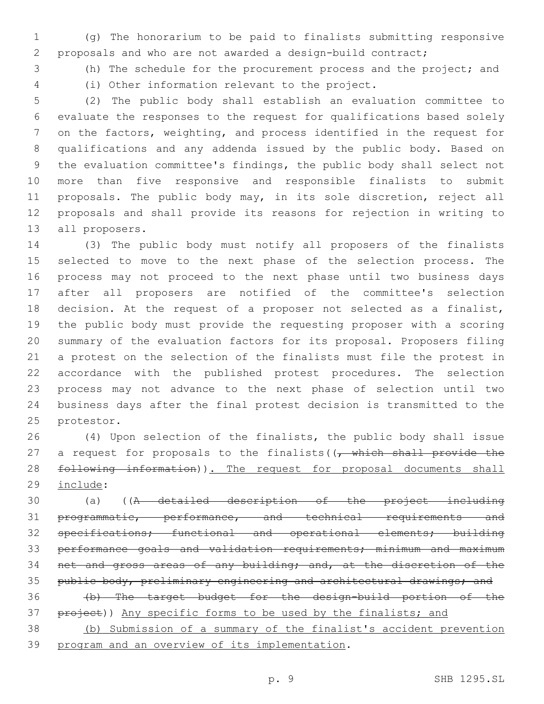(g) The honorarium to be paid to finalists submitting responsive proposals and who are not awarded a design-build contract;

(h) The schedule for the procurement process and the project; and

(i) Other information relevant to the project.4

 (2) The public body shall establish an evaluation committee to evaluate the responses to the request for qualifications based solely on the factors, weighting, and process identified in the request for qualifications and any addenda issued by the public body. Based on the evaluation committee's findings, the public body shall select not more than five responsive and responsible finalists to submit proposals. The public body may, in its sole discretion, reject all proposals and shall provide its reasons for rejection in writing to 13 all proposers.

 (3) The public body must notify all proposers of the finalists selected to move to the next phase of the selection process. The process may not proceed to the next phase until two business days after all proposers are notified of the committee's selection decision. At the request of a proposer not selected as a finalist, the public body must provide the requesting proposer with a scoring summary of the evaluation factors for its proposal. Proposers filing a protest on the selection of the finalists must file the protest in accordance with the published protest procedures. The selection process may not advance to the next phase of selection until two business days after the final protest decision is transmitted to the 25 protestor.

 (4) Upon selection of the finalists, the public body shall issue 27 a request for proposals to the finalists  $(\sqrt{t} - \sqrt{t})$  which shall provide the 28 following information)). The request for proposal documents shall 29 include:

 (a) ((A detailed description of the project including 31 programmatic, performance, and technical requirements and specifications; functional and operational elements; building performance goals and validation requirements; minimum and maximum net and gross areas of any building; and, at the discretion of the 35 public body, preliminary engineering and architectural drawings; and (b) The target budget for the design-build portion of the

37 project)) Any specific forms to be used by the finalists; and (b) Submission of a summary of the finalist's accident prevention

39 program and an overview of its implementation.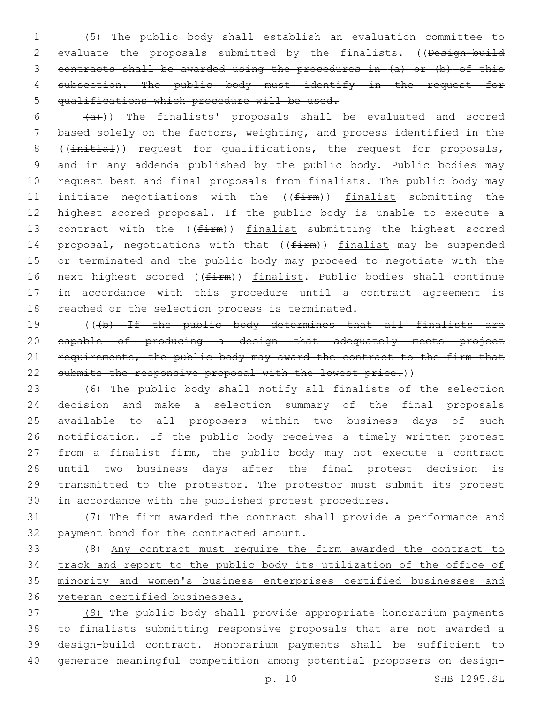(5) The public body shall establish an evaluation committee to 2 evaluate the proposals submitted by the finalists. ((Design-build contracts shall be awarded using the procedures in (a) or (b) of this 4 subsection. The public body must identify in the request for qualifications which procedure will be used.

 $(a + b)$ ) The finalists' proposals shall be evaluated and scored based solely on the factors, weighting, and process identified in the 8 ((initial)) request for qualifications, the request for proposals, and in any addenda published by the public body. Public bodies may request best and final proposals from finalists. The public body may 11 initiate negotiations with the  $((firm))$  finalist submitting the highest scored proposal. If the public body is unable to execute a 13 contract with the  $((firm))$  finalist submitting the highest scored 14 proposal, negotiations with that  $((firm))$  finalist may be suspended or terminated and the public body may proceed to negotiate with the 16 next highest scored ((firm)) finalist. Public bodies shall continue in accordance with this procedure until a contract agreement is 18 reached or the selection process is terminated.

19 (((b) If the public body determines that all finalists are capable of producing a design that adequately meets project 21 requirements, the public body may award the contract to the firm that 22 submits the responsive proposal with the lowest price.))

 (6) The public body shall notify all finalists of the selection decision and make a selection summary of the final proposals available to all proposers within two business days of such notification. If the public body receives a timely written protest from a finalist firm, the public body may not execute a contract until two business days after the final protest decision is transmitted to the protestor. The protestor must submit its protest in accordance with the published protest procedures.

 (7) The firm awarded the contract shall provide a performance and 32 payment bond for the contracted amount.

 (8) Any contract must require the firm awarded the contract to track and report to the public body its utilization of the office of minority and women's business enterprises certified businesses and veteran certified businesses.

 (9) The public body shall provide appropriate honorarium payments to finalists submitting responsive proposals that are not awarded a design-build contract. Honorarium payments shall be sufficient to generate meaningful competition among potential proposers on design-

p. 10 SHB 1295.SL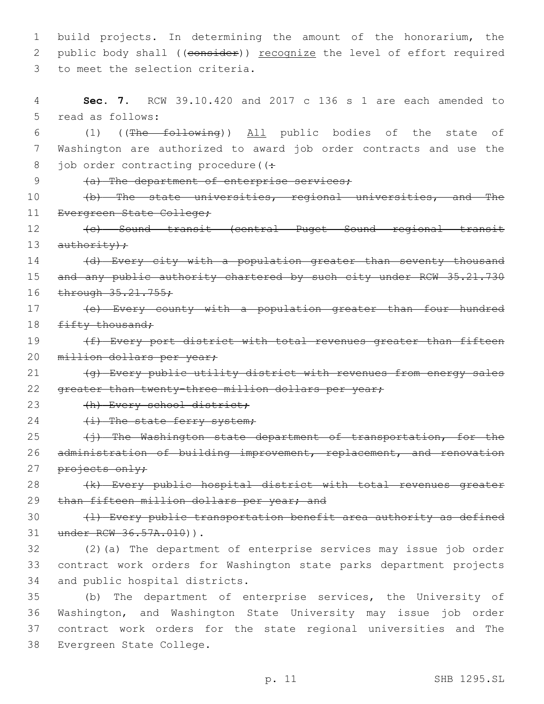1 build projects. In determining the amount of the honorarium, the 2 public body shall ((consider)) recognize the level of effort required 3 to meet the selection criteria.

4 **Sec. 7.** RCW 39.10.420 and 2017 c 136 s 1 are each amended to 5 read as follows: 6 (1) ((The following)) All public bodies of the state of 7 Washington are authorized to award job order contracts and use the 8 job order contracting procedure ( $($ : 9 (a) The department of enterprise services; 10 (b) The state universities, regional universities, and The 11 Evergreen State College; 12 (c) Sound transit (central Puget Sound regional transit 13  $a$ uthority); 14 (d) Every city with a population greater than seventy thousand 15 and any public authority chartered by such city under RCW 35.21.730 16 through 35.21.755; 17 (e) Every county with a population greater than four hundred 18 fifty thousand; 19 (f) Every port district with total revenues greater than fifteen 20 million dollars per year; 21 (g) Every public utility district with revenues from energy sales 22 greater than twenty-three million dollars per year; 23 (h) Every school district; 24 (i) The state ferry system; 25 (i) The Washington state department of transportation, for the 26 administration of building improvement, replacement, and renovation 27 projects only; 28 (k) Every public hospital district with total revenues greater 29 than fifteen million dollars per year; and 30 (1) Every public transportation benefit area authority as defined 31 under RCW 36.57A.010)). 32 (2)(a) The department of enterprise services may issue job order 33 contract work orders for Washington state parks department projects 34 and public hospital districts. 35 (b) The department of enterprise services, the University of 36 Washington, and Washington State University may issue job order 37 contract work orders for the state regional universities and The 38 Evergreen State College.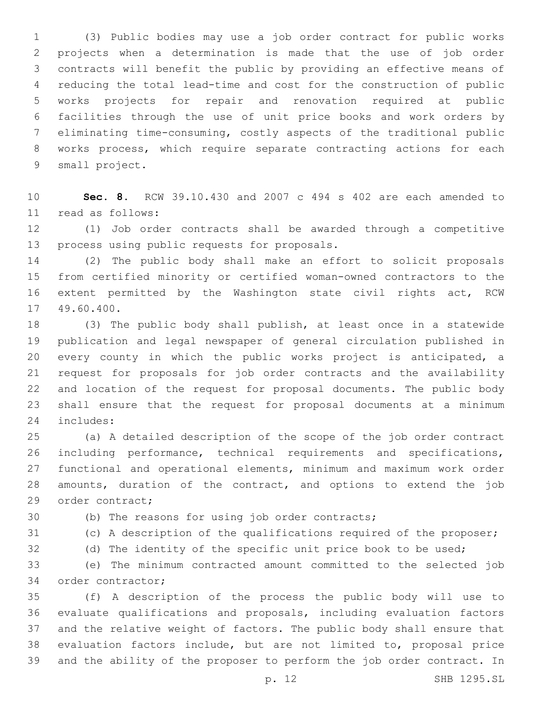(3) Public bodies may use a job order contract for public works projects when a determination is made that the use of job order contracts will benefit the public by providing an effective means of reducing the total lead-time and cost for the construction of public works projects for repair and renovation required at public facilities through the use of unit price books and work orders by eliminating time-consuming, costly aspects of the traditional public works process, which require separate contracting actions for each 9 small project.

 **Sec. 8.** RCW 39.10.430 and 2007 c 494 s 402 are each amended to read as follows:11

 (1) Job order contracts shall be awarded through a competitive 13 process using public requests for proposals.

 (2) The public body shall make an effort to solicit proposals from certified minority or certified woman-owned contractors to the extent permitted by the Washington state civil rights act, RCW 17 49.60.400.

 (3) The public body shall publish, at least once in a statewide publication and legal newspaper of general circulation published in every county in which the public works project is anticipated, a request for proposals for job order contracts and the availability and location of the request for proposal documents. The public body shall ensure that the request for proposal documents at a minimum 24 includes:

 (a) A detailed description of the scope of the job order contract including performance, technical requirements and specifications, functional and operational elements, minimum and maximum work order amounts, duration of the contract, and options to extend the job 29 order contract;

(b) The reasons for using job order contracts;

(c) A description of the qualifications required of the proposer;

(d) The identity of the specific unit price book to be used;

 (e) The minimum contracted amount committed to the selected job 34 order contractor;

 (f) A description of the process the public body will use to evaluate qualifications and proposals, including evaluation factors and the relative weight of factors. The public body shall ensure that evaluation factors include, but are not limited to, proposal price and the ability of the proposer to perform the job order contract. In

p. 12 SHB 1295.SL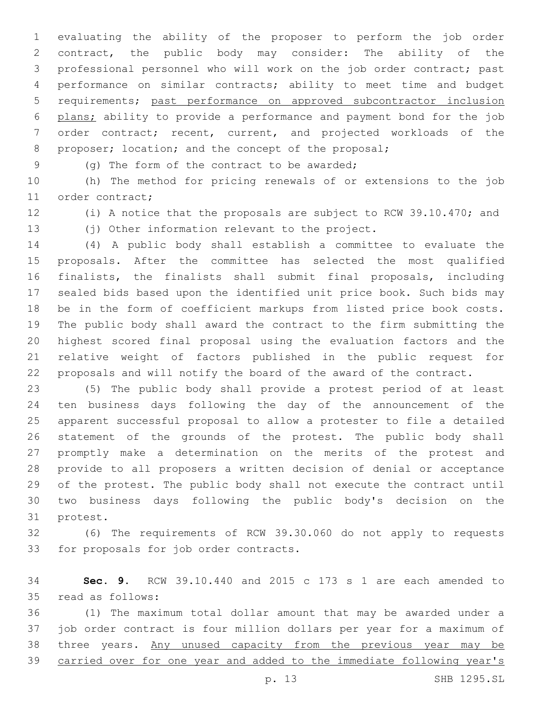evaluating the ability of the proposer to perform the job order contract, the public body may consider: The ability of the professional personnel who will work on the job order contract; past performance on similar contracts; ability to meet time and budget requirements; past performance on approved subcontractor inclusion plans; ability to provide a performance and payment bond for the job order contract; recent, current, and projected workloads of the 8 proposer; location; and the concept of the proposal;

(g) The form of the contract to be awarded;9

 (h) The method for pricing renewals of or extensions to the job 11 order contract;

(i) A notice that the proposals are subject to RCW 39.10.470; and

(j) Other information relevant to the project.

 (4) A public body shall establish a committee to evaluate the proposals. After the committee has selected the most qualified finalists, the finalists shall submit final proposals, including sealed bids based upon the identified unit price book. Such bids may be in the form of coefficient markups from listed price book costs. The public body shall award the contract to the firm submitting the highest scored final proposal using the evaluation factors and the relative weight of factors published in the public request for proposals and will notify the board of the award of the contract.

 (5) The public body shall provide a protest period of at least ten business days following the day of the announcement of the apparent successful proposal to allow a protester to file a detailed statement of the grounds of the protest. The public body shall promptly make a determination on the merits of the protest and provide to all proposers a written decision of denial or acceptance of the protest. The public body shall not execute the contract until two business days following the public body's decision on the 31 protest.

 (6) The requirements of RCW 39.30.060 do not apply to requests 33 for proposals for job order contracts.

 **Sec. 9.** RCW 39.10.440 and 2015 c 173 s 1 are each amended to 35 read as follows:

 (1) The maximum total dollar amount that may be awarded under a job order contract is four million dollars per year for a maximum of 38 three years. Any unused capacity from the previous year may be 39 carried over for one year and added to the immediate following year's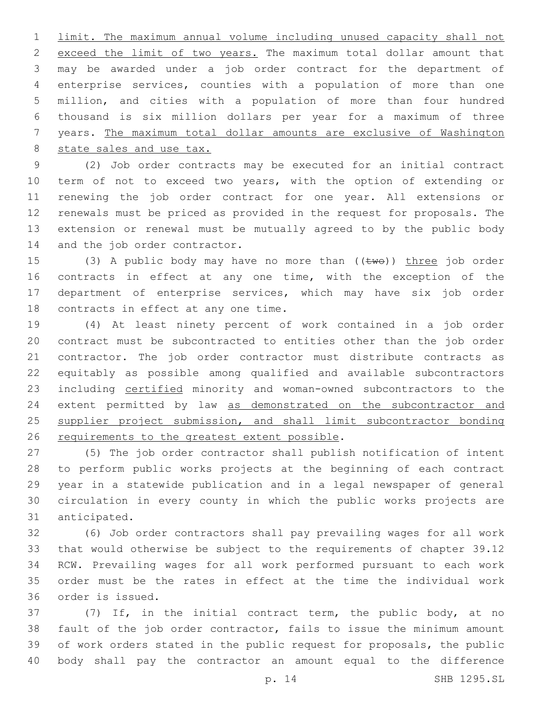limit. The maximum annual volume including unused capacity shall not exceed the limit of two years. The maximum total dollar amount that may be awarded under a job order contract for the department of enterprise services, counties with a population of more than one million, and cities with a population of more than four hundred thousand is six million dollars per year for a maximum of three years. The maximum total dollar amounts are exclusive of Washington state sales and use tax.

 (2) Job order contracts may be executed for an initial contract term of not to exceed two years, with the option of extending or renewing the job order contract for one year. All extensions or renewals must be priced as provided in the request for proposals. The extension or renewal must be mutually agreed to by the public body 14 and the job order contractor.

15 (3) A public body may have no more than  $((\text{two}))$  three job order contracts in effect at any one time, with the exception of the department of enterprise services, which may have six job order 18 contracts in effect at any one time.

 (4) At least ninety percent of work contained in a job order contract must be subcontracted to entities other than the job order contractor. The job order contractor must distribute contracts as equitably as possible among qualified and available subcontractors including certified minority and woman-owned subcontractors to the 24 extent permitted by law as demonstrated on the subcontractor and 25 supplier project submission, and shall limit subcontractor bonding 26 requirements to the greatest extent possible.

 (5) The job order contractor shall publish notification of intent to perform public works projects at the beginning of each contract year in a statewide publication and in a legal newspaper of general circulation in every county in which the public works projects are 31 anticipated.

 (6) Job order contractors shall pay prevailing wages for all work that would otherwise be subject to the requirements of chapter 39.12 RCW. Prevailing wages for all work performed pursuant to each work order must be the rates in effect at the time the individual work 36 order is issued.

 (7) If, in the initial contract term, the public body, at no fault of the job order contractor, fails to issue the minimum amount of work orders stated in the public request for proposals, the public body shall pay the contractor an amount equal to the difference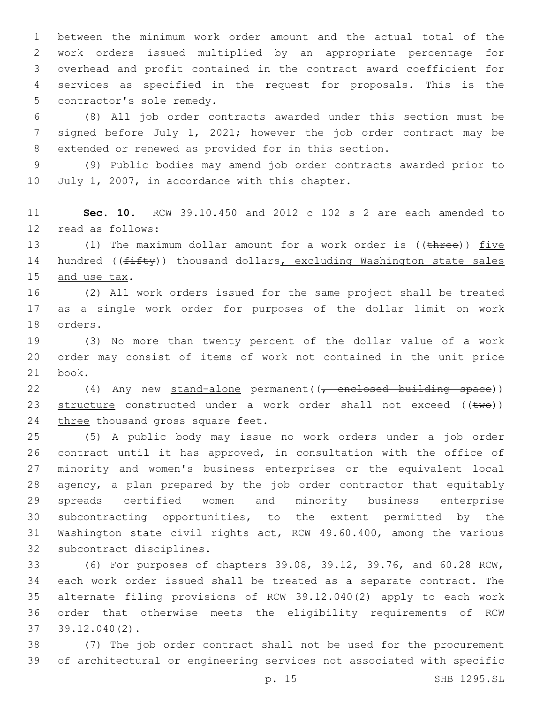between the minimum work order amount and the actual total of the work orders issued multiplied by an appropriate percentage for overhead and profit contained in the contract award coefficient for services as specified in the request for proposals. This is the 5 contractor's sole remedy.

 (8) All job order contracts awarded under this section must be signed before July 1, 2021; however the job order contract may be extended or renewed as provided for in this section.

 (9) Public bodies may amend job order contracts awarded prior to 10 July 1, 2007, in accordance with this chapter.

 **Sec. 10.** RCW 39.10.450 and 2012 c 102 s 2 are each amended to 12 read as follows:

13 (1) The maximum dollar amount for a work order is ((three)) five 14 hundred (( $f$ ifty)) thousand dollars, excluding Washington state sales 15 and use tax.

 (2) All work orders issued for the same project shall be treated as a single work order for purposes of the dollar limit on work 18 orders.

 (3) No more than twenty percent of the dollar value of a work order may consist of items of work not contained in the unit price 21 book.

22 (4) Any new stand-alone permanent((, enclosed building space)) 23 structure constructed under a work order shall not exceed  $((\text{two}))$ 24 three thousand gross square feet.

 (5) A public body may issue no work orders under a job order contract until it has approved, in consultation with the office of minority and women's business enterprises or the equivalent local agency, a plan prepared by the job order contractor that equitably spreads certified women and minority business enterprise subcontracting opportunities, to the extent permitted by the Washington state civil rights act, RCW 49.60.400, among the various 32 subcontract disciplines.

 (6) For purposes of chapters 39.08, 39.12, 39.76, and 60.28 RCW, each work order issued shall be treated as a separate contract. The alternate filing provisions of RCW 39.12.040(2) apply to each work order that otherwise meets the eligibility requirements of RCW 39.12.040(2).37

 (7) The job order contract shall not be used for the procurement of architectural or engineering services not associated with specific

p. 15 SHB 1295.SL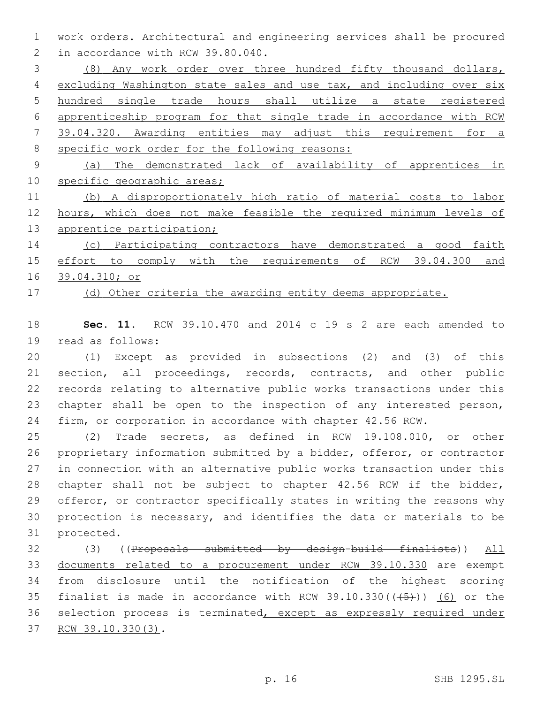work orders. Architectural and engineering services shall be procured 2 in accordance with RCW 39.80.040.

 (8) Any work order over three hundred fifty thousand dollars, excluding Washington state sales and use tax, and including over six hundred single trade hours shall utilize a state registered apprenticeship program for that single trade in accordance with RCW 39.04.320. Awarding entities may adjust this requirement for a specific work order for the following reasons:

 (a) The demonstrated lack of availability of apprentices in 10 specific geographic areas;

 (b) A disproportionately high ratio of material costs to labor hours, which does not make feasible the required minimum levels of 13 apprentice participation;

 (c) Participating contractors have demonstrated a good faith effort to comply with the requirements of RCW 39.04.300 and 39.04.310; or

(d) Other criteria the awarding entity deems appropriate.

 **Sec. 11.** RCW 39.10.470 and 2014 c 19 s 2 are each amended to 19 read as follows:

 (1) Except as provided in subsections (2) and (3) of this section, all proceedings, records, contracts, and other public records relating to alternative public works transactions under this 23 chapter shall be open to the inspection of any interested person, firm, or corporation in accordance with chapter 42.56 RCW.

 (2) Trade secrets, as defined in RCW 19.108.010, or other proprietary information submitted by a bidder, offeror, or contractor in connection with an alternative public works transaction under this chapter shall not be subject to chapter 42.56 RCW if the bidder, offeror, or contractor specifically states in writing the reasons why protection is necessary, and identifies the data or materials to be 31 protected.

 (3) ((Proposals submitted by design-build finalists)) All documents related to a procurement under RCW 39.10.330 are exempt from disclosure until the notification of the highest scoring 35 finalist is made in accordance with RCW  $39.10.330((45))$  (6) or the 36 selection process is terminated, except as expressly required under 37 RCW 39.10.330(3).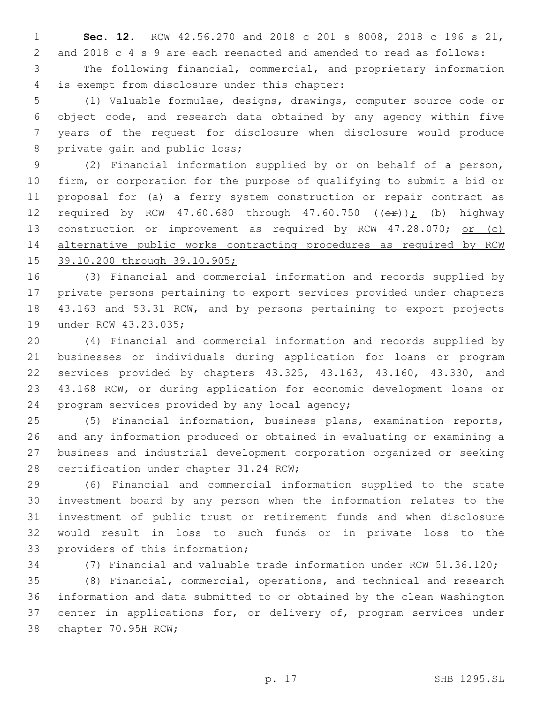**Sec. 12.** RCW 42.56.270 and 2018 c 201 s 8008, 2018 c 196 s 21, and 2018 c 4 s 9 are each reenacted and amended to read as follows: The following financial, commercial, and proprietary information is exempt from disclosure under this chapter:4

 (1) Valuable formulae, designs, drawings, computer source code or object code, and research data obtained by any agency within five years of the request for disclosure when disclosure would produce 8 private gain and public loss;

 (2) Financial information supplied by or on behalf of a person, firm, or corporation for the purpose of qualifying to submit a bid or proposal for (a) a ferry system construction or repair contract as 12 required by RCW 47.60.680 through 47.60.750  $((\theta \cdot \hat{r}))$ ; (b) highway 13 construction or improvement as required by RCW 47.28.070; or (c) alternative public works contracting procedures as required by RCW 39.10.200 through 39.10.905;

 (3) Financial and commercial information and records supplied by private persons pertaining to export services provided under chapters 43.163 and 53.31 RCW, and by persons pertaining to export projects 19 under RCW 43.23.035;

 (4) Financial and commercial information and records supplied by businesses or individuals during application for loans or program services provided by chapters 43.325, 43.163, 43.160, 43.330, and 43.168 RCW, or during application for economic development loans or 24 program services provided by any local agency;

 (5) Financial information, business plans, examination reports, and any information produced or obtained in evaluating or examining a business and industrial development corporation organized or seeking 28 certification under chapter 31.24 RCW;

 (6) Financial and commercial information supplied to the state investment board by any person when the information relates to the investment of public trust or retirement funds and when disclosure would result in loss to such funds or in private loss to the 33 providers of this information;

(7) Financial and valuable trade information under RCW 51.36.120;

 (8) Financial, commercial, operations, and technical and research information and data submitted to or obtained by the clean Washington 37 center in applications for, or delivery of, program services under 38 chapter 70.95H RCW;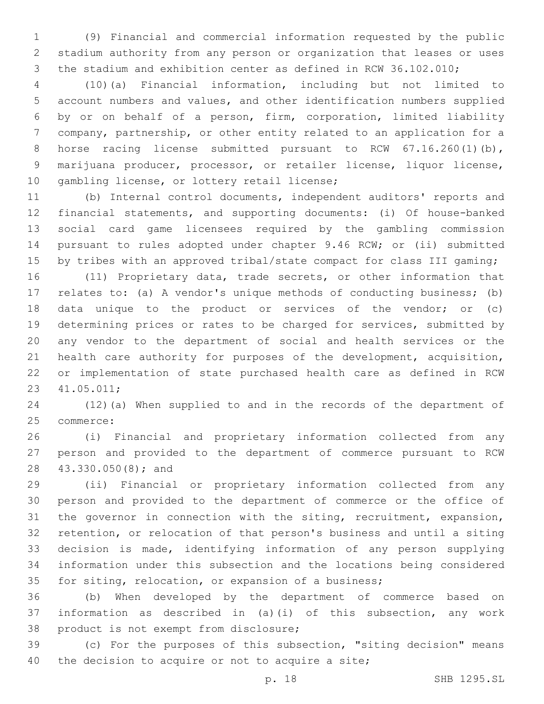(9) Financial and commercial information requested by the public stadium authority from any person or organization that leases or uses the stadium and exhibition center as defined in RCW 36.102.010;

 (10)(a) Financial information, including but not limited to account numbers and values, and other identification numbers supplied by or on behalf of a person, firm, corporation, limited liability company, partnership, or other entity related to an application for a 8 horse racing license submitted pursuant to RCW 67.16.260(1)(b), marijuana producer, processor, or retailer license, liquor license, 10 gambling license, or lottery retail license;

 (b) Internal control documents, independent auditors' reports and financial statements, and supporting documents: (i) Of house-banked social card game licensees required by the gambling commission pursuant to rules adopted under chapter 9.46 RCW; or (ii) submitted 15 by tribes with an approved tribal/state compact for class III gaming;

 (11) Proprietary data, trade secrets, or other information that relates to: (a) A vendor's unique methods of conducting business; (b) data unique to the product or services of the vendor; or (c) determining prices or rates to be charged for services, submitted by any vendor to the department of social and health services or the health care authority for purposes of the development, acquisition, or implementation of state purchased health care as defined in RCW 41.05.011;23

 (12)(a) When supplied to and in the records of the department of 25 commerce:

 (i) Financial and proprietary information collected from any person and provided to the department of commerce pursuant to RCW 28 43.330.050(8); and

 (ii) Financial or proprietary information collected from any person and provided to the department of commerce or the office of the governor in connection with the siting, recruitment, expansion, retention, or relocation of that person's business and until a siting decision is made, identifying information of any person supplying information under this subsection and the locations being considered for siting, relocation, or expansion of a business;

 (b) When developed by the department of commerce based on information as described in (a)(i) of this subsection, any work 38 product is not exempt from disclosure;

 (c) For the purposes of this subsection, "siting decision" means 40 the decision to acquire or not to acquire a site;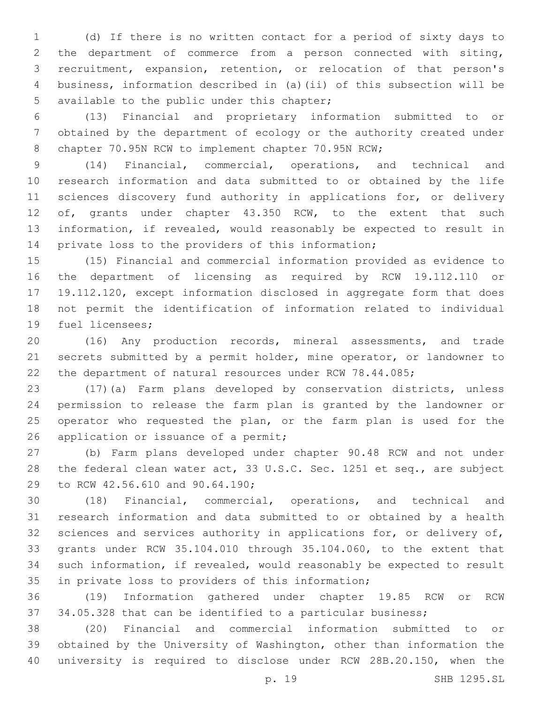(d) If there is no written contact for a period of sixty days to the department of commerce from a person connected with siting, recruitment, expansion, retention, or relocation of that person's business, information described in (a)(ii) of this subsection will be 5 available to the public under this chapter;

 (13) Financial and proprietary information submitted to or obtained by the department of ecology or the authority created under 8 chapter 70.95N RCW to implement chapter 70.95N RCW;

 (14) Financial, commercial, operations, and technical and research information and data submitted to or obtained by the life 11 sciences discovery fund authority in applications for, or delivery 12 of, grants under chapter 43.350 RCW, to the extent that such information, if revealed, would reasonably be expected to result in private loss to the providers of this information;

 (15) Financial and commercial information provided as evidence to the department of licensing as required by RCW 19.112.110 or 19.112.120, except information disclosed in aggregate form that does not permit the identification of information related to individual 19 fuel licensees;

 (16) Any production records, mineral assessments, and trade secrets submitted by a permit holder, mine operator, or landowner to the department of natural resources under RCW 78.44.085;

 (17)(a) Farm plans developed by conservation districts, unless permission to release the farm plan is granted by the landowner or operator who requested the plan, or the farm plan is used for the 26 application or issuance of a permit;

 (b) Farm plans developed under chapter 90.48 RCW and not under the federal clean water act, 33 U.S.C. Sec. 1251 et seq., are subject 29 to RCW 42.56.610 and 90.64.190;

 (18) Financial, commercial, operations, and technical and research information and data submitted to or obtained by a health 32 sciences and services authority in applications for, or delivery of, grants under RCW 35.104.010 through 35.104.060, to the extent that such information, if revealed, would reasonably be expected to result 35 in private loss to providers of this information;

 (19) Information gathered under chapter 19.85 RCW or RCW 34.05.328 that can be identified to a particular business;

 (20) Financial and commercial information submitted to or obtained by the University of Washington, other than information the university is required to disclose under RCW 28B.20.150, when the

p. 19 SHB 1295.SL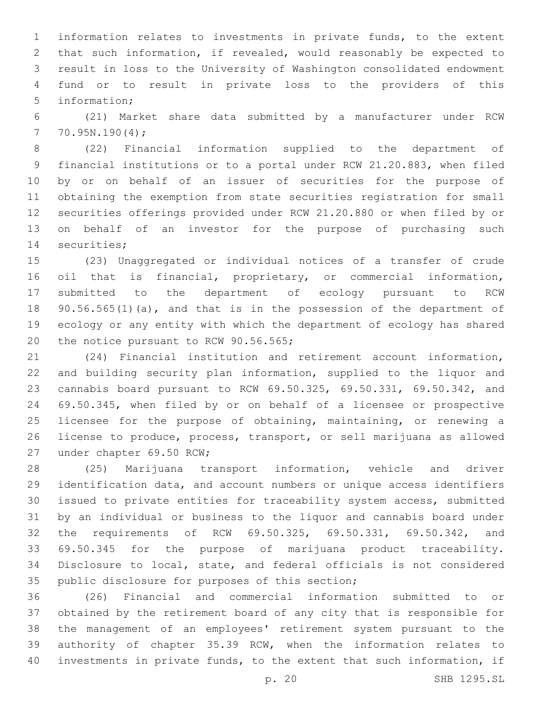information relates to investments in private funds, to the extent that such information, if revealed, would reasonably be expected to result in loss to the University of Washington consolidated endowment fund or to result in private loss to the providers of this 5 information:

 (21) Market share data submitted by a manufacturer under RCW  $770.95N.190(4);$ 

 (22) Financial information supplied to the department of financial institutions or to a portal under RCW 21.20.883, when filed by or on behalf of an issuer of securities for the purpose of obtaining the exemption from state securities registration for small securities offerings provided under RCW 21.20.880 or when filed by or on behalf of an investor for the purpose of purchasing such 14 securities;

 (23) Unaggregated or individual notices of a transfer of crude oil that is financial, proprietary, or commercial information, submitted to the department of ecology pursuant to RCW 90.56.565(1)(a), and that is in the possession of the department of ecology or any entity with which the department of ecology has shared 20 the notice pursuant to RCW 90.56.565;

 (24) Financial institution and retirement account information, and building security plan information, supplied to the liquor and cannabis board pursuant to RCW 69.50.325, 69.50.331, 69.50.342, and 69.50.345, when filed by or on behalf of a licensee or prospective licensee for the purpose of obtaining, maintaining, or renewing a license to produce, process, transport, or sell marijuana as allowed 27 under chapter 69.50 RCW;

 (25) Marijuana transport information, vehicle and driver identification data, and account numbers or unique access identifiers issued to private entities for traceability system access, submitted by an individual or business to the liquor and cannabis board under the requirements of RCW 69.50.325, 69.50.331, 69.50.342, and 69.50.345 for the purpose of marijuana product traceability. Disclosure to local, state, and federal officials is not considered 35 public disclosure for purposes of this section;

 (26) Financial and commercial information submitted to or obtained by the retirement board of any city that is responsible for the management of an employees' retirement system pursuant to the authority of chapter 35.39 RCW, when the information relates to investments in private funds, to the extent that such information, if

p. 20 SHB 1295.SL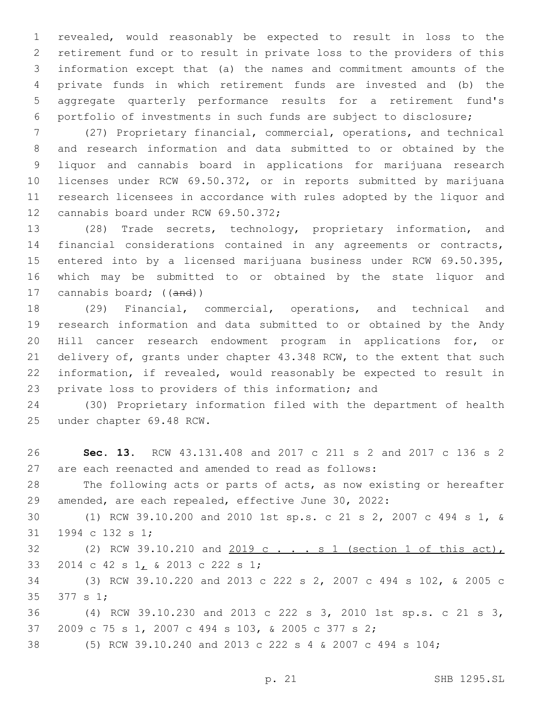revealed, would reasonably be expected to result in loss to the retirement fund or to result in private loss to the providers of this information except that (a) the names and commitment amounts of the private funds in which retirement funds are invested and (b) the aggregate quarterly performance results for a retirement fund's portfolio of investments in such funds are subject to disclosure;

 (27) Proprietary financial, commercial, operations, and technical and research information and data submitted to or obtained by the liquor and cannabis board in applications for marijuana research licenses under RCW 69.50.372, or in reports submitted by marijuana research licensees in accordance with rules adopted by the liquor and 12 cannabis board under RCW 69.50.372;

 (28) Trade secrets, technology, proprietary information, and financial considerations contained in any agreements or contracts, entered into by a licensed marijuana business under RCW 69.50.395, which may be submitted to or obtained by the state liquor and 17 cannabis board; ((and))

 (29) Financial, commercial, operations, and technical and research information and data submitted to or obtained by the Andy Hill cancer research endowment program in applications for, or delivery of, grants under chapter 43.348 RCW, to the extent that such information, if revealed, would reasonably be expected to result in private loss to providers of this information; and

 (30) Proprietary information filed with the department of health 25 under chapter 69.48 RCW.

 **Sec. 13.** RCW 43.131.408 and 2017 c 211 s 2 and 2017 c 136 s 2 are each reenacted and amended to read as follows: The following acts or parts of acts, as now existing or hereafter amended, are each repealed, effective June 30, 2022: (1) RCW 39.10.200 and 2010 1st sp.s. c 21 s 2, 2007 c 494 s 1, & 31 1994 c 132 s 1; 32 (2) RCW 39.10.210 and 2019 c . . . s 1 (section 1 of this act), 33 2014 c 42 s 1, & 2013 c 222 s 1; (3) RCW 39.10.220 and 2013 c 222 s 2, 2007 c 494 s 102, & 2005 c 35 377 s 1; (4) RCW 39.10.230 and 2013 c 222 s 3, 2010 1st sp.s. c 21 s 3, 2009 c 75 s 1, 2007 c 494 s 103, & 2005 c 377 s 2; (5) RCW 39.10.240 and 2013 c 222 s 4 & 2007 c 494 s 104;

p. 21 SHB 1295.SL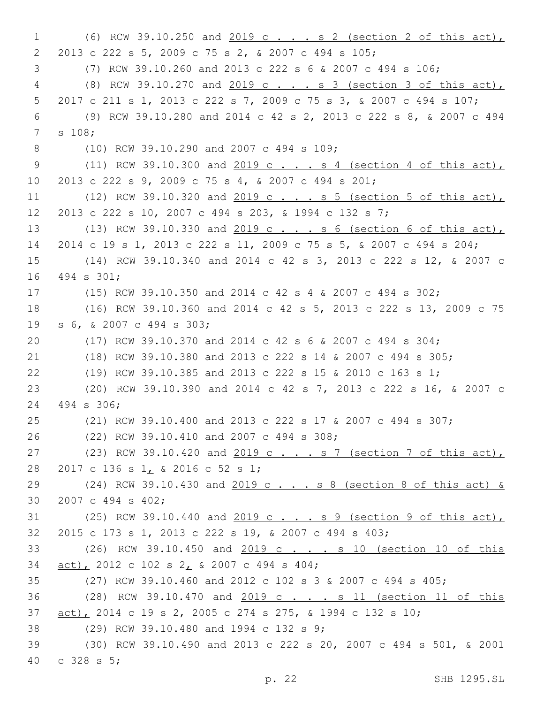1 (6) RCW 39.10.250 and 2019 c . . . s 2 (section 2 of this act), 2013 c 222 s 5, 2009 c 75 s 2, & 2007 c 494 s 105;2 3 (7) RCW 39.10.260 and 2013 c 222 s 6 & 2007 c 494 s 106; 4 (8) RCW 39.10.270 and 2019 c . . . s 3 (section 3 of this act), 5 2017 c 211 s 1, 2013 c 222 s 7, 2009 c 75 s 3, & 2007 c 494 s 107; 6 (9) RCW 39.10.280 and 2014 c 42 s 2, 2013 c 222 s 8, & 2007 c 494 7 s 108; 8 (10) RCW 39.10.290 and 2007 c 494 s 109; 9 (11) RCW 39.10.300 and 2019 c . . . s 4 (section 4 of this act), 10 2013 c 222 s 9, 2009 c 75 s 4, & 2007 c 494 s 201; 11 (12) RCW 39.10.320 and 2019 c . . . s 5 (section 5 of this act), 12 2013 c 222 s 10, 2007 c 494 s 203, & 1994 c 132 s 7; 13 (13) RCW 39.10.330 and 2019 c . . . s 6 (section 6 of this act), 14 2014 c 19 s 1, 2013 c 222 s 11, 2009 c 75 s 5, & 2007 c 494 s 204; 15 (14) RCW 39.10.340 and 2014 c 42 s 3, 2013 c 222 s 12, & 2007 c 16 494 s 301; 17 (15) RCW 39.10.350 and 2014 c 42 s 4 & 2007 c 494 s 302; 18 (16) RCW 39.10.360 and 2014 c 42 s 5, 2013 c 222 s 13, 2009 c 75 s 6, & 2007 c 494 s 303;19 20 (17) RCW 39.10.370 and 2014 c 42 s 6 & 2007 c 494 s 304; 21 (18) RCW 39.10.380 and 2013 c 222 s 14 & 2007 c 494 s 305; 22 (19) RCW 39.10.385 and 2013 c 222 s 15 & 2010 c 163 s 1; 23 (20) RCW 39.10.390 and 2014 c 42 s 7, 2013 c 222 s 16, & 2007 c 24 494 s 306; 25 (21) RCW 39.10.400 and 2013 c 222 s 17 & 2007 c 494 s 307; (22) RCW 39.10.410 and 2007 c 494 s 308;26 27 (23) RCW 39.10.420 and 2019 c . . . s 7 (section 7 of this act), 28 2017 c 136 s 1, & 2016 c 52 s 1; 29 (24) RCW 39.10.430 and 2019 c . . . s 8 (section 8 of this act) & 30 2007 c 494 s 402; 31 (25) RCW 39.10.440 and 2019 c . . . s 9 (section 9 of this act), 32 2015 c 173 s 1, 2013 c 222 s 19, & 2007 c 494 s 403; 33 (26) RCW 39.10.450 and 2019 c . . . s 10 (section 10 of this 34 act), 2012 c 102 s 2, & 2007 c 494 s 404; 35 (27) RCW 39.10.460 and 2012 c 102 s 3 & 2007 c 494 s 405; 36 (28) RCW 39.10.470 and 2019 c . . . s 11 (section 11 of this 37 act), 2014 c 19 s 2, 2005 c 274 s 275, & 1994 c 132 s 10; 38 (29) RCW 39.10.480 and 1994 c 132 s 9; 39 (30) RCW 39.10.490 and 2013 c 222 s 20, 2007 c 494 s 501, & 2001 c 328 s 5;40